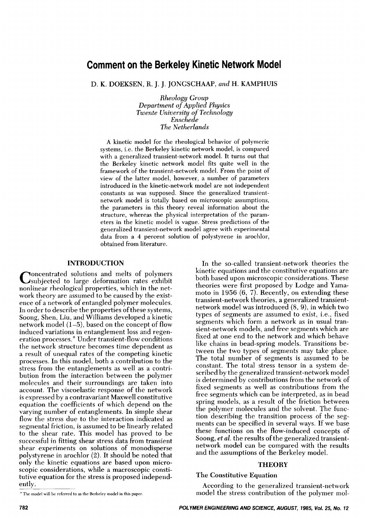# **Comment on the Berkeley Kinetic Network Model**

D. K. DOEKSEN, R. **J. J.** JONGSCHAAP, *and* H. KAMPHUIS

*Rheology Group Department of Applied Physics Twente University of Technology Ensc hed e The Netherlands* 

**A** kinetic model for the rheological behavior of polymeric systems, i.e. the Berkeley kinetic network model, is compared with a generalized transient-network model. It turns out that the Berkeley kinetic network model fits quite well in the framework of the transient-network model. From the point of view of the latter model, however, a number of parameters introduced in the kinetic-network model are not independent constants as was supposed. Since the generalized transientnetwork model is totally based on microscopic assumptions, the parameters in this theory reveal information about the structure, whereas the physical interpretation of the parameters in the kinetic model is vague. Stress predictions of the generalized transient-network model agree with experimental data from a **4** percent solution of polystyrene in arochlor, obtained from literature.

# INTRODUCTION

oncentrated solutions and melts of polymers **C** subjected to large deformation rates exhibit nonlinear rheological properties, which in the network theory are assumed to be caused by the existence of a network of entangled polymer molecules. In order to describe the properties of these systems, Soong, Shen, Liu, and Williams developed a kinetic network model **(1-S),** based on the concept of flow induced variations in entanglement loss and regeneration processes.\* Under transient-flow conditions the network structure becomes time dependent as a result of unequal rates of the competing kinetic processes. In this model, both a contribution to the stress from the entanglements as well as a contribution from the interaction between the polymer molecules and their surroundings are taken into account. The viscoelastic response of the network is expressed by a contravariant Maxwell constitutive equation the coefficients of which depend on the varying number of entanglements. In simple shear flow the stress due to the interaction indicated as segmental friction, is assumed to be linearly related to the shear rate. This model has proved to be successful in fitting shear stress data from transient shear experiments on solutions of monodisperse polystyrene in arochlor (2). It should be noted that only the kinetic equations are based upon microscopic considerations, while a macroscopic constitutive equation for the stress is proposed independently.

In the so-called transient-network theories the kinetic equations and the constitutive equations are both based upon microscopic considerations. These theories were first proposed by Lodge and Yamamoto in 1956  $(6, 7)$ . Recently, on extending these transient-network theories, a generalized transientnetwork model was introduced (8, 9), in which two types of segments are assumed to exist, i.e., fixed segments which form a network as in usual transient-network models, and free segments which are fixed at one end to the network and which behave like chains in bead-spring models. Transitions between the two types of segments may take place. The total number of segments is assumed to be constant. The total stress tensor in a system described by the generalized transient-network model is determined by contributions from the network of fixed segments as well as contributions from the free segments which can be interpreted, as in bead spring models, as a result of the friction between the polymer molecules and the solvent. The function describing the transition process of the segments can be specified in several ways. If we base these functions on the flow-induced concepts of Soong, *et al.* the results of the generalized transientnetwork model can be compared with the results and the assumptions of the Berkeley model.

#### **THEORY**

## The Constitutive Equation

According to the generalized transient-network model the stress contribution of the polymer mol-

<sup>&#</sup>x27; The model will be referred to **as** the Berkeley **model** in this paper.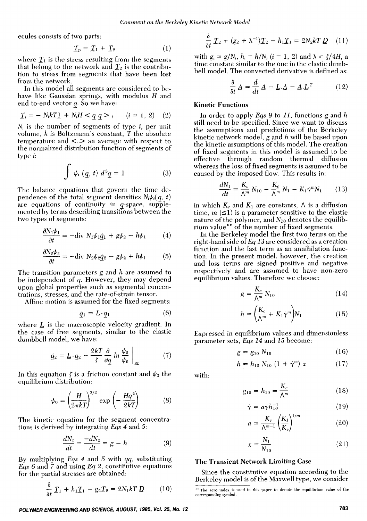ecules consists of two parts:

$$
\underline{T}_p = \underline{T}_1 + \underline{T}_2 \tag{1}
$$

where  $T_1$  is the stress resulting from the segments that belong to the network and  $T_2$  is the contribution to stress from segments that have been lost from the network.

In this model all segments are considered to behave like Gaussian springs, with modulus *H* and end-to-end vector q. So we have:

$$
T_i = -N_i k T_1 + N_i H < q \, q > i \qquad (i = 1, 2) \quad (2)
$$

*N,* is the number of segments of type *i,* per unit volume, **k** is Boltzmann's constant, *T* the absolute temperature and <..> an average with respect to the normalized distribution function of segments of type *i:* 

$$
\int \psi_i (q, t) d^3q = 1 \tag{3}
$$

The balance equations that govern the time dependence of the total segment densities  $N_i \psi_i(q, t)$ are equations of continuity in q-space, supplemented by terms describing transitions between the two types of segments:

$$
\frac{\partial N_1 \psi_1}{\partial t} = -\text{div } N_1 \psi_1 \dot{q}_1 + g \psi_2 - h \psi_1 \qquad (4)
$$

$$
\frac{\partial N_2 \psi_2}{\partial t} = -\text{div } N_2 \psi_2 \dot{q}_2 - g \psi_2 + h \psi_1 \qquad (5)
$$

The transition parameters g and *h* are assumed to be independent of *q.* However, they may depend upon global properfies such as segmental concentrations, stresses, and the rate-of-strain tensor.

Affine motion is assumed for the fixed segments:

$$
\dot{\underline{q}}_1 = \underline{L} \cdot \underline{q}_1 \tag{6}
$$

where  $L$  is the macroscopic velocity gradient. In the case of free segments, similar to the elastic dumbbell model, we have:

$$
\dot{q}_2 = L \cdot \underline{q}_2 - \frac{2kT}{\zeta} \frac{\partial}{\partial \underline{q}} \ln \frac{\psi_2}{\psi_0} \bigg|_{\underline{q}_2} \tag{7}
$$

In this equation  $\zeta$  is a friction constant and  $\psi_0$  the equilibrium distribution:

$$
\psi_0 = \left(\frac{H}{2\pi kT}\right)^{3/2} \exp\left(-\frac{Hq^2}{2kT}\right) \tag{8}
$$

The kinetic equation for the segment concentrations is derived by integrating *Eqs 4* and *5:* 

$$
\frac{dN_1}{dt} = \frac{-dN_2}{dt} = g - h \tag{9}
$$

By multiplying *Eqs 4* and *5* with *qq,* substituting *Eqs 6* and *7* and using *Eq* 2, constitutive equations for the partial stresses are obtained:

$$
\frac{\delta}{\delta t} T_1 + h_1 T_1 - g_2 T_2 = 2N_1 k T D \qquad (10)
$$

$$
\frac{\delta}{\delta t} T_2 + (g_2 + \lambda^{-1}) T_2 - h_1 T_1 = 2N_2 k T D \quad (11)
$$

with  $g_i = g/N_i$ ,  $h_i = h/N_i$  (*i* = 1, 2) and  $\lambda = \zeta/4H$ , a time constant similar to the one in the elastic dumbbell model. The convected derivative is defined as:

$$
\frac{\delta}{\delta t} \mathbf{A} = \frac{d}{dt} \mathbf{A} - \mathbf{L} \mathbf{A} - \mathbf{A} \mathbf{L}^T \tag{12}
$$

# Kinetic Functions

In order to apply *Eqs* 9 to *11,* functions g and *h*  still need to be specified. Since we want to discuss the assumptions and predictions of the Berkeley kinetic network model, g and *h* will be based upon the kinetic assumptions of this model. The creation of fixed segments in this model is assumed to be effective through random thermal diffusion whereas the loss of fixed segments is assumed to be caused by the imposed flow. This results in:

$$
\frac{dN_1}{dt} = \frac{K_c}{\Lambda^m} N_{10} - \frac{K_c}{\Lambda^m} N_1 - K_1 \dot{\gamma}^m N_1 \qquad (13)
$$

in which  $K_c$  and  $K_1$  are constants,  $\Lambda$  is a diffusion time,  $m$   $(\leq)$  is a parameter sensitive to the elastic nature of the polymer, and  $N_{10}$  denotes the equilibrium value\*\* of the number of fixed segments.

In the Berkeley model the first two terms on the right-hand side of *Eq 13* are considered as a creation function and the last term as an annihilation function. In the present model, however, the creation and loss terms are signed positive and negative respectively and are assumed to have non-zero

respecively and are assumed to have non-zero  
equilibrium values. Therefore we choose:  

$$
g = \frac{K_c}{\Lambda^m} N_{10}
$$
 (14)

$$
h = \left(\frac{K_c}{\Lambda^m} + K_1 \dot{\gamma}^m\right) N_1 \tag{15}
$$

Expressed in equilibrium values and dimensionless parameter sets, *Eqs 14* and *15* become:

$$
g = g_{10} N_{10} \tag{16}
$$

$$
h = h_{10} N_{10} (1 + \tilde{\gamma}^m) x \qquad (17)
$$

with:

$$
g_{10} = h_{10} = \frac{K_c}{\Lambda^m} \tag{18}
$$

$$
\tilde{\gamma} = a\dot{\gamma}h_{10}^{-1} \tag{19}
$$

$$
a = \frac{K_c}{\Lambda^{m-1}} \left(\frac{K_1}{K_c}\right)^{1/m} \tag{20}
$$

$$
x = \frac{N_1}{N_{10}}\tag{21}
$$

## The Transient Network Limiting Case

Since the constitutive equation according to the Berkeley model is of the Maxwell type, we consider

*POLYMER ENGINEERING AND SCIENCE, AUGUST, 7985, Vol. 25, No. 12* **783** 

<sup>\*\*</sup> The zero index is used in this paper to denote the equilibrium value of the **corresponding symbol.**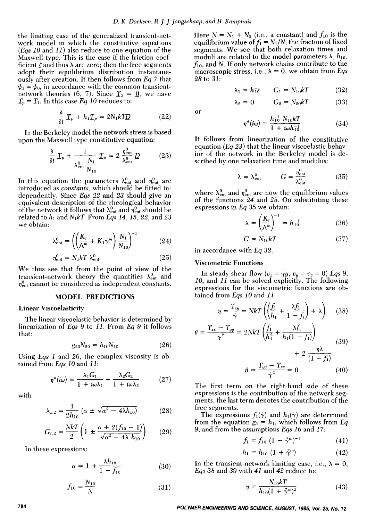the limiting case of the generalized transient-network model in which the constitutive equations *(Eqs 10* and *11* ) also reduce to one equation of the Maxwell type. This is the case if the friction coefficient  $\zeta$  and thus  $\lambda$  are zero; then the free segments adopt their equilibrium distribution instantaneously after creation. It then follows from *E9* 7 that  $\psi_2 = \psi_0$ , in accordance with the common transientnetwork theories (6, 7). Since  $\underline{T}_2 = \underline{0}$ , we have  $T_p = T_1$ . In this case *Eq 10* reduces to:

$$
\frac{\delta}{\delta t} T_p + h_1 T_p = 2N_1 k T D \qquad (22)
$$

In the Berkeley model the network stress is based upon the Maxwell type constitutive equation:

$$
\frac{\delta}{\delta t} T_p + \frac{1}{\lambda_{\text{ent}}^0} \frac{N_1}{N_{10}} T_p = 2 \frac{\eta_{\text{ent}}^0}{\lambda_{\text{ent}}^0} D \tag{23}
$$

In this equation the parameters  $\lambda_{ent}^0$  and  $\eta_{ent}^0$  are introduced as *constants,* which should be fitted independently. Since *Eqs 22* and *23* should give an equivalent description of the rheological behavior of the network it follows that  $\lambda_{ent}^0$  and  $\eta_{ent}^0$  should be related to  $h_1$  and  $N_1kT$ . From *Eqs 14, 15, 22, and 23* we obtain:

$$
\lambda_{\text{ent}}^0 = \left( \left( \frac{K_c}{\Lambda^m} + K_1 \dot{\gamma}^m \right) \frac{N_1}{N_{10}} \right)^{-1} \tag{24}
$$

$$
\eta_{\text{ent}}^0 = N_1 k T \lambda_{\text{ent}}^0 \tag{25}
$$

We thus see that from the point of view of the transient-network theory the quantities  $\lambda_{ent}^0$  and  $\eta_{\text{ent}}^0$  cannot be considered as independent constants.

#### **MODEL PREDICTIONS**

#### Linear Viscoelasticity

The linear viscoelastic behavior is determined by linearization of *Eqs* 9 to *11.* From *Eq* 9 it follows that:

$$
g_{20}N_{20} = h_{10}N_{10} \tag{26}
$$

Using *Eqs 1* and *26,* the complex viscosity is obtained from *Eqs 10* and *11:* 

$$
\eta^*(i\omega) = \frac{\lambda_1 G_1}{1 + i\omega\lambda_1} + \frac{\lambda_2 G_2}{1 + i\omega\lambda_2} \tag{27}
$$

with

$$
\lambda_{1,2} = \frac{1}{2h_{10}} \left( \alpha \pm \sqrt{\alpha^2 - 4\lambda h_{10}} \right) \tag{28}
$$

$$
G_{1,2} = \frac{NkT}{2} \left( 1 \pm \frac{\alpha + 2(f_{10} - 1)}{\sqrt{\alpha^2 - 4\lambda h_{10}}} \right) \qquad (29)
$$

In these expressions:

$$
\alpha = 1 + \frac{\lambda h_{10}}{1 - f_{10}} \tag{30}
$$

$$
f_{10} = \frac{N_{10}}{N}
$$
 (31)

Here  $N = N_1 + N_2$  (i.e., a constant) and  $f_{10}$  is the equilibrium value of  $f_1 = N_1/N$ , the fraction of fixed segments. We see that both relaxation times and moduli are related to the model parameters  $\lambda$ ,  $h_{10}$ ,  $f_{10}$ , and N. If only network chains contribute to the macroscopic stress, i.e.,  $\lambda = 0$ , we obtain from *Eqs 28* to *31:* 

$$
\lambda_1 = h_{10}^{-1} \qquad G_1 = N_{10}kT \tag{32}
$$

$$
\lambda_2 = 0 \qquad G_2 = N_{20}kT \qquad (33)
$$

or

$$
\eta^*(i\omega) = \frac{h_{10}^{-1} N_{10} kT}{1 + i\omega h_{10}^{-1}}
$$
 (34)

It follows from linearization of the constitutive equation *(Eq 23)* that the linear viscoelastic behavior of the network in the Berkeley model is described by one relaxation time and modulus:

$$
\lambda = \lambda_{\text{ent}}^0 \qquad G = \frac{\eta_{\text{ent}}^0}{\lambda_{\text{ent}}^0} \tag{35}
$$

where  $\lambda_{\text{ent}}^0$  and  $\eta_{\text{ent}}^0$  are now the equilibrium values of the functions *24* and *25.* On substituting these expressions in *Eq* 35 we obtain:

$$
\lambda = \left(\frac{K_c}{\Lambda^m}\right)^{-1} = h_{10}^{-1} \tag{36}
$$

$$
G = N_{10}kT \tag{37}
$$

in accordance with *Eq 32.* 

## Viscometric Functions

In steady shear flow  $(v_x = \gamma y, v_y = v_z = 0)$  Eqs 9, *10,* and *11* can be solved explicitly. The following expressions for the viscometric functions are obtained from *Eqs 10* and *11:* 

$$
\eta = \frac{T_{xy}}{\dot{\gamma}} = NkT \left( \left( \frac{f_1}{h_1} + \frac{\lambda f_1}{1 - f_1} \right) + \lambda \right) \quad (38)
$$

$$
\theta = \frac{T_{xx} - T_{yy}}{\dot{\gamma}^2} = 2NkT \left( \frac{f_1}{h_1^2} + \frac{\lambda f_1}{h_1(1 - f_1)} \right) \tag{39}
$$

$$
+ 2 \frac{\eta \lambda}{(1 - f_1)}
$$

$$
\beta = \frac{T_{yy} - T_{zz}}{\gamma^2} = 0
$$
(40)

The first term on the right-hand side of these expressions is the contribution of the network segments, the last term denotes the contribution of the free segments.

The expressions  $f_1(\gamma)$  and  $h_1(\gamma)$  are determined from the equation  $g_1 = h_1$ , which follows from  $Eq$ 9, and from the assumptions *Eqs 16* and *17:* 

$$
f_1 = f_{10} \ (1 + \tilde{\gamma}^m)^{-1} \tag{41}
$$

$$
h_1 = h_{10} \ (1 + \tilde{\gamma}^m) \tag{42}
$$

In the transient-network limiting case, i.e.,  $\lambda = 0$ , *Eqs 38* and **39** with *41* and *42* reduce to:

$$
\eta = \frac{N_{10}kT}{h_{10}(1 + \bar{\gamma}^m)^2}
$$
(43)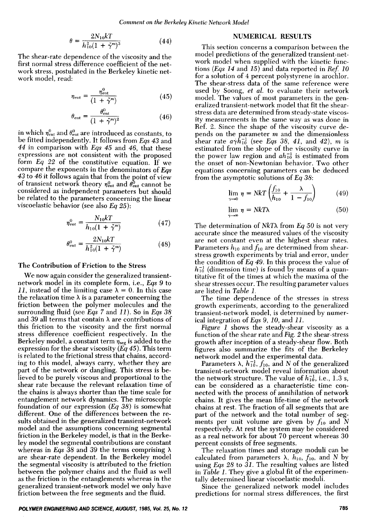$$
\theta = \frac{2N_{10}kT}{h_{10}^2(1+\bar{\gamma}^m)^3}
$$
(44)

The shear-rate dependence of the viscosity and the first normal stress difference coefficient of the network stress, postulated in the Berkeley kinetic network model, read:

$$
\eta_{\text{ent}} = \frac{\eta_{\text{ent}}^0}{(1 + \tilde{\gamma}^m)}\tag{45}
$$

$$
\theta_{\text{ent}} = \frac{\theta_{\text{ent}}^0}{(1 + \bar{\gamma}^m)^2} \tag{46}
$$

in which  $\eta_{\text{ent}}^0$  and  $\theta_{\text{ent}}^0$  are introduced as constants, to be fitted independently. It follows from *Eqs 43* and *44* in comparison with *Eqs 45* and *46,* that these expressions are not consistent with the proposed form *Eq 22* of the constitutive equation. If we compare the exponents in the denominators of *Eqs 43* to *46* it follows again that from the oint of view of transient network theory **vgnt** and **Bent** B cannot be considered as independent parameters but should be related to the parameters concerning the linear viscoelastic behavior (see also *Eq 25):* 

$$
\eta_{\text{ent}}^{0} = \frac{N_{10}kT}{h_{10}(1 + \bar{\gamma}^{m})}
$$
(47)

$$
\theta_{\text{ent}}^{0} = \frac{2N_{10}kT}{h_{10}^{2}(1 + \bar{\gamma}^{m})}
$$
(48)

## **The** Contribution of Friction to **the** Stress

We now again consider the generalized transientnetwork model in its complete form, i.e., *Eqs* 9 to 11, instead of the limiting case  $\lambda = 0$ . In this case the relaxation time  $\lambda$  is a parameter concerning the friction between the polymer molecules and the surrounding fluid (see *Eqs 7* and *11). So* in *Eqs 38*  and 39 all terms that contain  $\lambda$  are contributions of this friction to the viscosity and the first normal stress difference coefficient respectively. In the Berkeley model, a constant term  $\eta_{seg}$  is added to the expression for the shear viscosity *(Eq 45).* This term is related to the frictional stress that chains, according to this model, always carry, whether they are part of the network or dangling. This stress is believed to be purely viscous and proportional to the shear rate because the relevant relaxation time of the chains is always shorter than the time scale for entanglement network dynamics. The microscopic foundation of our expression *(Eq 38)* is somewhat different. One of the differences between the results obtained in the generalized transient-network model and the assumptions concerning segmental friction in the Berkeley model, is that in the Berkeley model the segmental contributions are constant whereas in *Eqs* 38 and 39 the terms comprising  $\lambda$ are shear-rate dependent. In the Berkeley model the segmental viscosity is attributed to the friction between the polymer chains and the fluid as well as the friction in the entanglements whereas in the generalized transient-network model we only have friction between the free segments and the fluid.

# **NUMERICAL RESULTS**

This section concerns a comparison between the model predictions of the generalized transient-network model when supplied with the kinetic functions *(Eqs 14* and *15)* and data reported in **Ref** *10*  for a solution of **4** percent polystyrene in arochlor. The shear-stress data of the same reference were used by Soong, **et** *al.* to evaluate their network model. The values of most parameters in the generalized transient-network model that fit the shearstress data are determined from steady-state viscosity measurements in the same way as was done in Ref. 2. Since the shape of the viscosity curve depends on the parameter *rn* and the dimensionless shear rate  $a\gamma h_{10}^{-1}$  (see *Eqs 38, 41, and 42), m is* estimated from the slope of the viscosity curve in the power law region and  $ah_{10}^{-1}$  is estimated from the onset of non-Newtonian behavior. Two other equations concerning parameters can be deduced from the asymptotic solutions of *Eq 38:* 

$$
\lim_{\hat{\gamma}\to 0} \eta = NkT \left( \frac{f_{10}}{h_{10}} + \frac{\lambda}{1 - f_{10}} \right) \tag{49}
$$

$$
\lim_{\dot{\gamma}\to\infty}\eta = NkT\lambda\tag{50}
$$

The determination of **NkTX** from *Eq 50* is not very accurate since the measured values of the viscosity are not constant even at the highest shear rates. Parameters  $h_{10}$  and  $f_{10}$  are determined from shearstress growth experiments by trial and error, under the condition of *Eq 49.* In this process the value of  $h_{10}^{-1}$  (dimension time) is found by means of a quantitative fit of the times at which the maxima of the shear stresses occur. The resulting parameter values are listed in **Table** *1.* 

The time dependence of the stresses in stress growth experiments, according to the generalized transient-network model, is determined by numerical integration of *Eqs 9, 10,* and *11.* 

**Figure** *1* shows the steady-shear viscosity as a function of the shear rate and **Fig.** *2* the shear-stress growth after inception of a steady-shear flow. Both figures also summarize the fits of the Berkeley network model and the experimental data.

Parameters  $\lambda$ ,  $h_{10}^{-1}$ ,  $f_{10}$ , and *N* of the generalized transient-network model reveal information about the network structure. The value of  $h_{10}^{-1}$ , i.e., 1.3 s, can be considered as a characteristic time connected with the process of annihilation of network chains. It gives the mean life-time of the network chains at rest. The fraction of all segments that are part of the network and the total number of segments per unit volume are given by  $f_{10}$  and N respectively. At rest the system may be considered as a real network for about 70 percent whereas **30**  percent consists of free segments.

The relaxation times and storage moduli can be calculated from parameters  $\lambda$ ,  $h_{10}$ ,  $f_{10}$ , and N by using *Eqs* 28 to *31.* The resulting values are listed in **Table** *1.* They give a global fit of the experimentally determined linear viscoelastic moduli.

Since the generalized network model includes predictions for normal stress differences, the first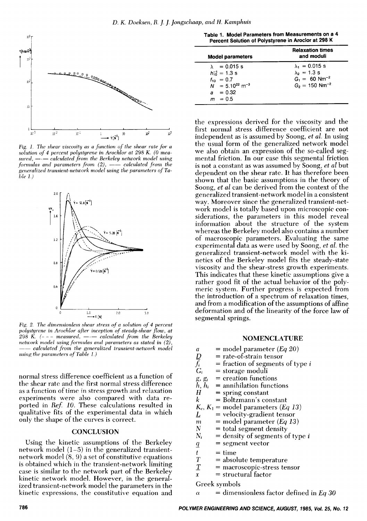

Fig. 1. The shear viscosity as a function of the shear rate for a solution of 4 percent polystyrene in Arochlor at 298 K. (0 measured,  $\longrightarrow$  calculated from the Berkeley network model using formulas and parameters from (2), - $-$  calculated from the generalized transient-network model using the parameters of Ta $ble 1.)$ 



Fig. 2. The dimensionless shear stress of a solution of 4 percent polystyrene in Arochlor after inception of steady-shear flow, at 298 K.  $(- - -$  measured,  $- -$  calculated from the Berkeley network model using formulas and parameters as stated in  $(2)$ , calculated from the generalized transient-network model using the parameters of Table 1.)

normal stress difference coefficient as a function of the shear rate and the first normal stress difference as a function of time in stress growth and relaxation experiments were also compared with data reported in Ref. 10. These calculations resulted in qualitative fits of the experimental data in which only the shape of the curves is correct.

## **CONCLUSION**

Using the kinetic assumptions of the Berkeley network model  $(1-5)$  in the generalized transientnetwork model  $(8, 9)$  a set of constitutive equations is obtained which in the transient-network limiting case is similar to the network part of the Berkeley kinetic network model. However, in the generalized transient-network model the parameters in the kinetic expressions, the constitutive equation and

| Table 1. Model Parameters from Measurements on a 4  |  |
|-----------------------------------------------------|--|
| Percent Solution of Polystyrene in Aroclor at 298 K |  |

| <b>Model parameters</b>         | <b>Relaxation times</b><br>and moduli |
|---------------------------------|---------------------------------------|
| $\lambda = 0.015$ s             | $\lambda_1 = 0.015$ s                 |
| $h_{10}^{-1} = 1.3$ s           | $\lambda_2 = 1.3$ s                   |
| $f_{10} = 0.7$                  | $G_1 = 60$ Nm <sup>-2</sup>           |
| $N = 5.10^{22}$ m <sup>-3</sup> | $G_2 = 150$ Nm <sup>-2</sup>          |
| $a = 0.32$                      |                                       |
| $m = 0.5$                       |                                       |

the expressions derived for the viscosity and the first normal stress difference coefficient are not independent as is assumed by Soong, et al. In using the usual form of the generalized network model we also obtain an expression of the so-called segmental friction. In our case this segmental friction is not a constant as was assumed by Soong, et al but dependent on the shear rate. It has therefore been shown that the basic assumptions in the theory of Soong, et al can be derived from the context of the generalized transient-network model in a consistent way. Moreover since the generalized transient-network model is totally based upon microscopic considerations, the parameters in this model reveal information about the structure of the system whereas the Berkeley model also contains a number of macroscopic parameters. Evaluating the same experimental data as were used by Soong, et al. the generalized transient-network model with the kinetics of the Berkeley model fits the steady-state viscosity and the shear-stress growth experiments. This indicates that these kinetic assumptions give a rather good fit of the actual behavior of the polymeric system. Further progress is expected from the introduction of a spectrum of relaxation times, and from a modification of the assumptions of affine deformation and of the linearity of the force law of segmental springs.

#### **NOMENCLATURE**

- = model parameter  $(Eq 20)$  $\boldsymbol{a}$
- $=$  rate-of-strain tensor
- = fraction of segments of type  $i$
- $\frac{D}{f_i}$ <br> $G_i$  $=$  storage moduli
- $=$  creation functions  $g, g_i$
- $h, h_i$  $=$  annihilation functions
- $\boldsymbol{H}$  $=$  spring constant
- k = Boltzmann's constant

 $K_c, K_1$  = model parameters (*Eq 13*)

- $=$  velocity-gradient tensor L
- $\boldsymbol{m}$  $=$  model parameter (*Eq 13*)
- N  $=$  total segment density
- N,  $=$  density of segments of type i
- $=$  segment vector  $\underline{q}$
- ŧ  $=$  time
- T  $=$  absolute temperature
- $\overline{T}$ = macroscopic-stress tensor
- $=$  structural factor  $\pmb{\chi}$

Greek symbols

 $=$  dimensionless factor defined in Eq 30  $\alpha$